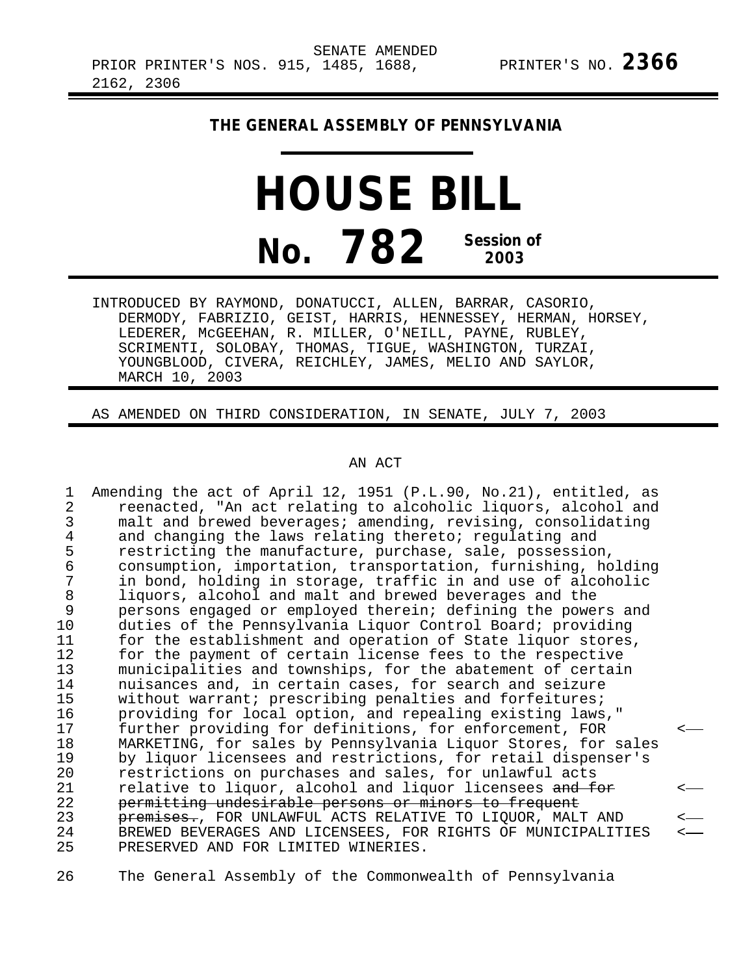## **THE GENERAL ASSEMBLY OF PENNSYLVANIA**

## **HOUSE BILL No. 782 Session of 2003**

INTRODUCED BY RAYMOND, DONATUCCI, ALLEN, BARRAR, CASORIO, DERMODY, FABRIZIO, GEIST, HARRIS, HENNESSEY, HERMAN, HORSEY, LEDERER, McGEEHAN, R. MILLER, O'NEILL, PAYNE, RUBLEY, SCRIMENTI, SOLOBAY, THOMAS, TIGUE, WASHINGTON, TURZAI, YOUNGBLOOD, CIVERA, REICHLEY, JAMES, MELIO AND SAYLOR, MARCH 10, 2003

AS AMENDED ON THIRD CONSIDERATION, IN SENATE, JULY 7, 2003

## AN ACT

1 Amending the act of April 12, 1951 (P.L.90, No.21), entitled, as 2 reenacted, "An act relating to alcoholic liquors, alcohol and<br>3 malt and brewed beverages; amending, revising, consolidating 3 malt and brewed beverages; amending, revising, consolidating<br>4 and changing the laws relating thereto; regulating and 4 and changing the laws relating thereto; regulating and<br>5 restricting the manufacture, purchase, sale, possessio 5 restricting the manufacture, purchase, sale, possession,<br>6 consumption, importation, transportation, furnishing, ho 6 consumption, importation, transportation, furnishing, holding 7 in bond, holding in storage, traffic in and use of alcoholic 8 liquors, alcohol and malt and brewed beverages and the<br>9 persons engaged or employed therein; defining the powe 9 persons engaged or employed therein; defining the powers and<br>10 duties of the Pennsylvania Liquor Control Board; providing duties of the Pennsylvania Liquor Control Board; providing 11 for the establishment and operation of State liquor stores,<br>12 for the payment of certain license fees to the respective 12 for the payment of certain license fees to the respective<br>13 municipalities and townships, for the abatement of certain 13 municipalities and townships, for the abatement of certain<br>14 muisances and, in certain cases, for search and seizure 14 nuisances and, in certain cases, for search and seizure<br>15 without warrant; prescribing penalties and forfeitures; 15 without warrant; prescribing penalties and forfeitures;<br>16 providing for local option, and repealing existing laws 16 providing for local option, and repealing existing laws," 17 further providing for definitions, for enforcement, FOR < 18 MARKETING, for sales by Pennsylvania Liquor Stores, for sales<br>19 by liquor licensees and restrictions, for retail dispenser's 19 by liquor licensees and restrictions, for retail dispenser's<br>20 restrictions on purchases and sales, for unlawful acts 20 restrictions on purchases and sales, for unlawful acts<br>21 relative to liguor, alcohol and liguor licensees and f 21 relative to liquor, alcohol and liquor licensees and for<br>22 permitting undesirable persons or minors to frequent 22 permitting undesirable persons or minors to frequent 23 premises., FOR UNLAWFUL ACTS RELATIVE TO LIQUOR, MALT AND < 24 BREWED BEVERAGES AND LICENSEES, FOR RIGHTS OF MUNICIPALITIES < PRESERVED AND FOR LIMITED WINERIES.

26 The General Assembly of the Commonwealth of Pennsylvania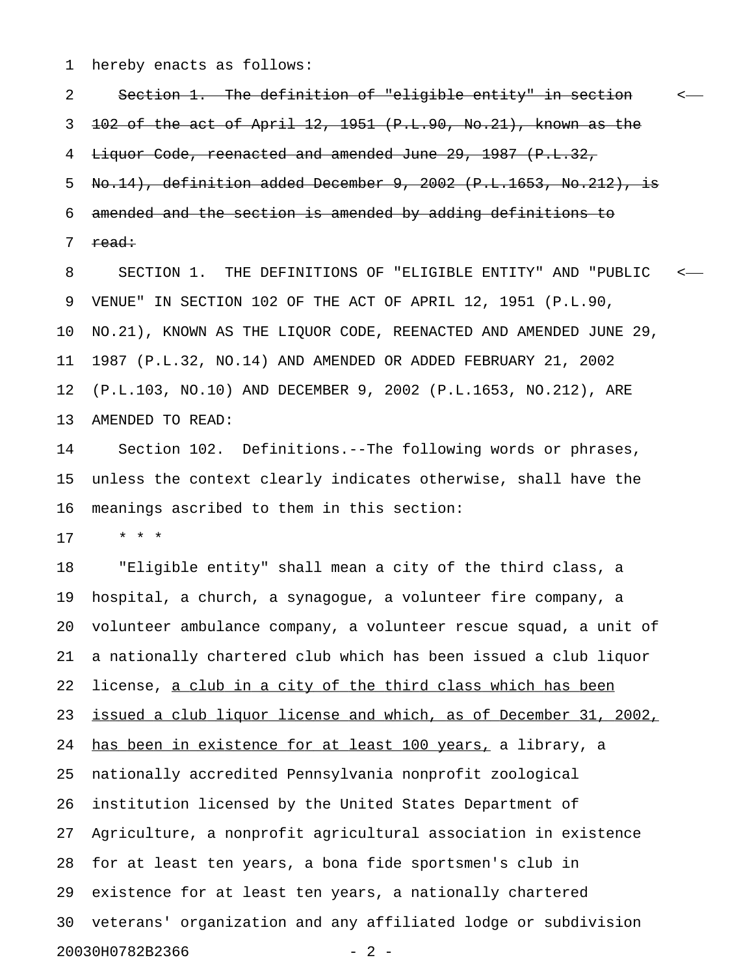1 hereby enacts as follows:

2 Section 1. The definition of "eligible entity" in section < 3 102 of the act of April 12, 1951 (P.L.90, No.21), known as the 4 Liquor Code, reenacted and amended June 29, 1987 (P.L.32, 5 No.14), definition added December 9, 2002 (P.L.1653, No.212), is 6 amended and the section is amended by adding definitions to 7 <del>read:</del>

8 SECTION 1. THE DEFINITIONS OF "ELIGIBLE ENTITY" AND "PUBLIC < 9 VENUE" IN SECTION 102 OF THE ACT OF APRIL 12, 1951 (P.L.90, 10 NO.21), KNOWN AS THE LIQUOR CODE, REENACTED AND AMENDED JUNE 29, 11 1987 (P.L.32, NO.14) AND AMENDED OR ADDED FEBRUARY 21, 2002 12 (P.L.103, NO.10) AND DECEMBER 9, 2002 (P.L.1653, NO.212), ARE 13 AMENDED TO READ:

14 Section 102. Definitions.--The following words or phrases, 15 unless the context clearly indicates otherwise, shall have the 16 meanings ascribed to them in this section:

17 \* \* \*

18 "Eligible entity" shall mean a city of the third class, a 19 hospital, a church, a synagogue, a volunteer fire company, a 20 volunteer ambulance company, a volunteer rescue squad, a unit of 21 a nationally chartered club which has been issued a club liquor 22 license, a club in a city of the third class which has been 23 issued a club liquor license and which, as of December 31, 2002, 24 has been in existence for at least 100 years, a library, a 25 nationally accredited Pennsylvania nonprofit zoological 26 institution licensed by the United States Department of 27 Agriculture, a nonprofit agricultural association in existence 28 for at least ten years, a bona fide sportsmen's club in 29 existence for at least ten years, a nationally chartered 30 veterans' organization and any affiliated lodge or subdivision 20030H0782B2366 - 2 -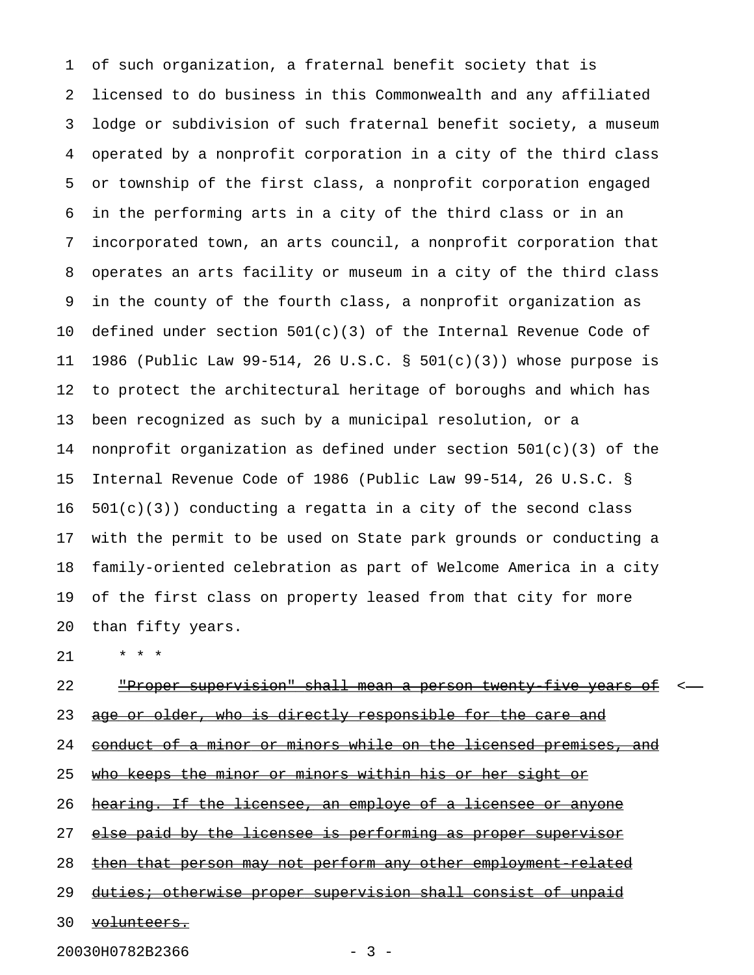1 of such organization, a fraternal benefit society that is 2 licensed to do business in this Commonwealth and any affiliated 3 lodge or subdivision of such fraternal benefit society, a museum 4 operated by a nonprofit corporation in a city of the third class 5 or township of the first class, a nonprofit corporation engaged 6 in the performing arts in a city of the third class or in an 7 incorporated town, an arts council, a nonprofit corporation that 8 operates an arts facility or museum in a city of the third class 9 in the county of the fourth class, a nonprofit organization as 10 defined under section 501(c)(3) of the Internal Revenue Code of 11 1986 (Public Law 99-514, 26 U.S.C. § 501(c)(3)) whose purpose is 12 to protect the architectural heritage of boroughs and which has 13 been recognized as such by a municipal resolution, or a 14 nonprofit organization as defined under section 501(c)(3) of the 15 Internal Revenue Code of 1986 (Public Law 99-514, 26 U.S.C. §  $16$   $501(c)(3)$  conducting a regatta in a city of the second class 17 with the permit to be used on State park grounds or conducting a 18 family-oriented celebration as part of Welcome America in a city 19 of the first class on property leased from that city for more 20 than fifty years.

21 \* \* \*

## 22 The Proper supervision" shall mean a person twenty five years of  $\leq$ 23 age or older, who is directly responsible for the care and 24 conduct of a minor or minors while on the licensed premises, and 25 who keeps the minor or minors within his or her sight or 26 hearing. If the licensee, an employe of a licensee or anyone

27 else paid by the licensee is performing as proper supervisor

28 then that person may not perform any other employment related

29 duties; otherwise proper supervision shall consist of unpaid

30 volunteers.

20030H0782B2366 - 3 -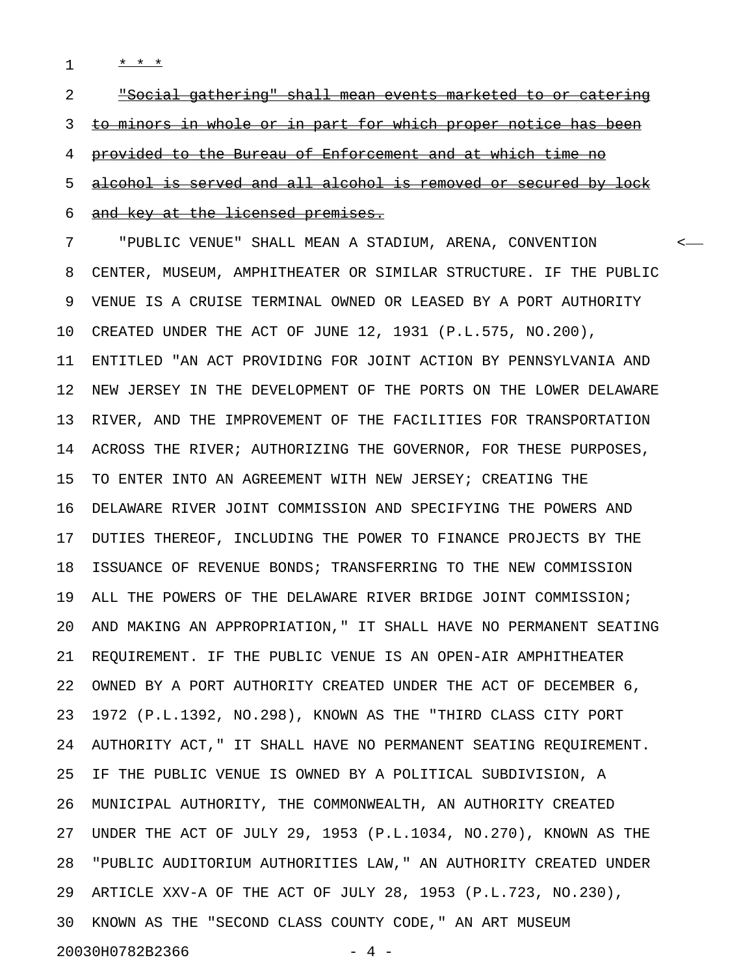1 **\* \* \*** 

2 The social gathering" shall mean events marketed to or catering 3 to minors in whole or in part for which proper notice has been 4 provided to the Bureau of Enforcement and at which time no 5 alcohol is served and all alcohol is removed or secured by lock 6 and key at the licensed premises. 7 "PUBLIC VENUE" SHALL MEAN A STADIUM, ARENA, CONVENTION <

8 CENTER, MUSEUM, AMPHITHEATER OR SIMILAR STRUCTURE. IF THE PUBLIC 9 VENUE IS A CRUISE TERMINAL OWNED OR LEASED BY A PORT AUTHORITY 10 CREATED UNDER THE ACT OF JUNE 12, 1931 (P.L.575, NO.200), 11 ENTITLED "AN ACT PROVIDING FOR JOINT ACTION BY PENNSYLVANIA AND 12 NEW JERSEY IN THE DEVELOPMENT OF THE PORTS ON THE LOWER DELAWARE 13 RIVER, AND THE IMPROVEMENT OF THE FACILITIES FOR TRANSPORTATION 14 ACROSS THE RIVER; AUTHORIZING THE GOVERNOR, FOR THESE PURPOSES, 15 TO ENTER INTO AN AGREEMENT WITH NEW JERSEY; CREATING THE 16 DELAWARE RIVER JOINT COMMISSION AND SPECIFYING THE POWERS AND 17 DUTIES THEREOF, INCLUDING THE POWER TO FINANCE PROJECTS BY THE 18 ISSUANCE OF REVENUE BONDS; TRANSFERRING TO THE NEW COMMISSION 19 ALL THE POWERS OF THE DELAWARE RIVER BRIDGE JOINT COMMISSION; 20 AND MAKING AN APPROPRIATION," IT SHALL HAVE NO PERMANENT SEATING 21 REQUIREMENT. IF THE PUBLIC VENUE IS AN OPEN-AIR AMPHITHEATER 22 OWNED BY A PORT AUTHORITY CREATED UNDER THE ACT OF DECEMBER 6, 23 1972 (P.L.1392, NO.298), KNOWN AS THE "THIRD CLASS CITY PORT 24 AUTHORITY ACT," IT SHALL HAVE NO PERMANENT SEATING REQUIREMENT. 25 IF THE PUBLIC VENUE IS OWNED BY A POLITICAL SUBDIVISION, A 26 MUNICIPAL AUTHORITY, THE COMMONWEALTH, AN AUTHORITY CREATED 27 UNDER THE ACT OF JULY 29, 1953 (P.L.1034, NO.270), KNOWN AS THE 28 "PUBLIC AUDITORIUM AUTHORITIES LAW," AN AUTHORITY CREATED UNDER 29 ARTICLE XXV-A OF THE ACT OF JULY 28, 1953 (P.L.723, NO.230), 30 KNOWN AS THE "SECOND CLASS COUNTY CODE," AN ART MUSEUM

20030H0782B2366 - 4 -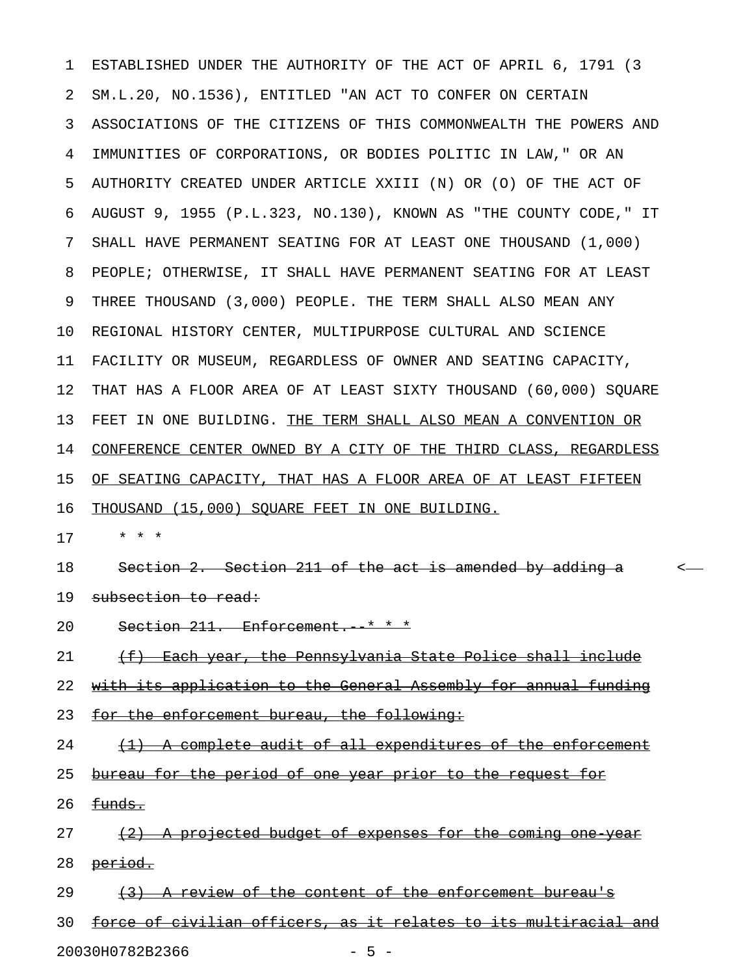1 ESTABLISHED UNDER THE AUTHORITY OF THE ACT OF APRIL 6, 1791 (3 2 SM.L.20, NO.1536), ENTITLED "AN ACT TO CONFER ON CERTAIN 3 ASSOCIATIONS OF THE CITIZENS OF THIS COMMONWEALTH THE POWERS AND 4 IMMUNITIES OF CORPORATIONS, OR BODIES POLITIC IN LAW," OR AN 5 AUTHORITY CREATED UNDER ARTICLE XXIII (N) OR (O) OF THE ACT OF 6 AUGUST 9, 1955 (P.L.323, NO.130), KNOWN AS "THE COUNTY CODE," IT 7 SHALL HAVE PERMANENT SEATING FOR AT LEAST ONE THOUSAND (1,000) 8 PEOPLE; OTHERWISE, IT SHALL HAVE PERMANENT SEATING FOR AT LEAST 9 THREE THOUSAND (3,000) PEOPLE. THE TERM SHALL ALSO MEAN ANY 10 REGIONAL HISTORY CENTER, MULTIPURPOSE CULTURAL AND SCIENCE 11 FACILITY OR MUSEUM, REGARDLESS OF OWNER AND SEATING CAPACITY, 12 THAT HAS A FLOOR AREA OF AT LEAST SIXTY THOUSAND (60,000) SQUARE 13 FEET IN ONE BUILDING. THE TERM SHALL ALSO MEAN A CONVENTION OR 14 CONFERENCE CENTER OWNED BY A CITY OF THE THIRD CLASS, REGARDLESS 15 OF SEATING CAPACITY, THAT HAS A FLOOR AREA OF AT LEAST FIFTEEN 16 THOUSAND (15,000) SQUARE FEET IN ONE BUILDING. 17 \* \* \* 18 Section 2. Section 211 of the act is amended by adding a section 2. 19 subsection to read: 20 Section 211. Enforcement. \* \* \* 21 (f) Each year, the Pennsylvania State Police shall include 22 with its application to the General Assembly for annual funding 23 for the enforcement bureau, the following:  $24$  (1) A complete audit of all expenditures of the enforcement 25 bureau for the period of one year prior to the request for  $26$   $~~Eunds~~$ .</del>  $27$  (2) A projected budget of expenses for the coming one year 28 <del>period.</del> 29  $(3)$  A review of the content of the enforcement bureau's 30 force of civilian officers, as it relates to its multiracial and 20030H0782B2366 - 5 -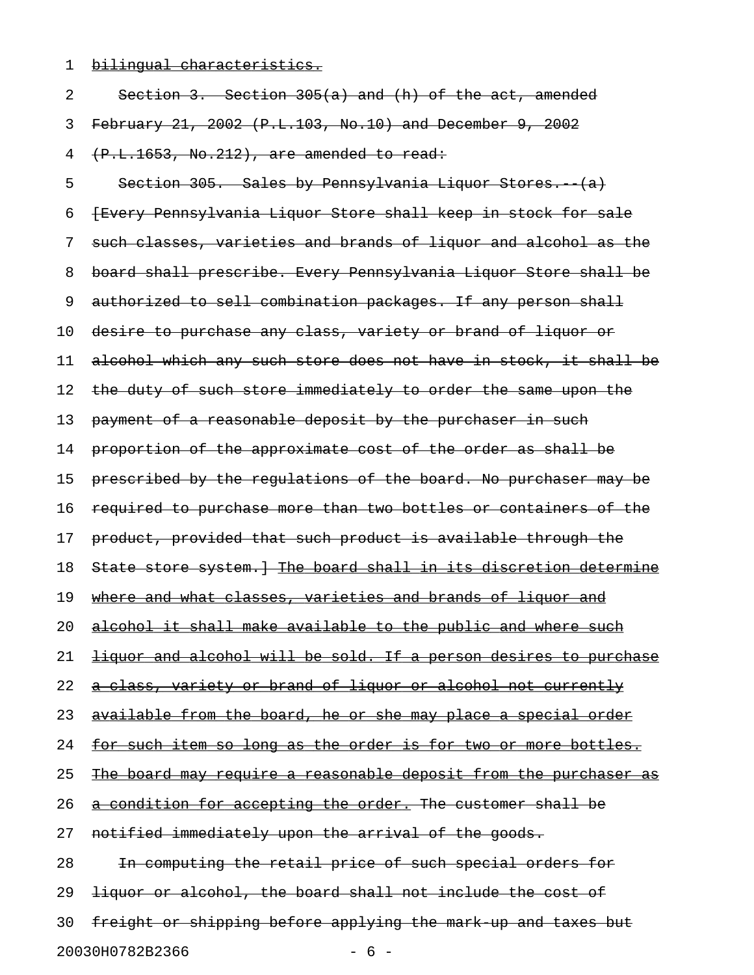1 bilingual characteristics.

| 2                        | Section 3. Section 305(a) and (h) of the act, amended                 |  |
|--------------------------|-----------------------------------------------------------------------|--|
| 3                        | February 21, 2002 (P.L.103, No.10) and December 9, 2002               |  |
| 4                        | (P.L.1653, No.212), are amended to read:                              |  |
| 5                        | Section 305. Sales by Pennsylvania Liquor Stores. (a)                 |  |
| 6                        | {Every Pennsylvania Liquor Store shall keep in stock for sale         |  |
| 7                        | such classes, varieties and brands of liquor and alcohol as the       |  |
| 8                        | board shall prescribe. Every Pennsylvania Liquor Store shall be       |  |
| 9                        | authorized to sell combination packages. If any person shall          |  |
| 10                       | desire to purchase any class, variety or brand of liquor or           |  |
| 11                       | alcohol which any such store does not have in stock, it shall be      |  |
| 12                       | the duty of such store immediately to order the same upon the         |  |
| 13                       | payment of a reasonable deposit by the purchaser in such              |  |
| 14                       | proportion of the approximate cost of the order as shall be           |  |
| 15                       | prescribed by the requlations of the board. No purchaser may be       |  |
| 16                       | required to purchase more than two bottles or containers of the       |  |
| 17                       | product, provided that such product is available through the          |  |
| 18                       | State store system. The board shall in its discretion determine       |  |
| 19                       | where and what classes, varieties and brands of liquor and            |  |
| 20                       | alcohol it shall make available to the public and where such          |  |
| 21                       | liquor and alcohol will be sold. If a person desires to purchase      |  |
| 22                       | a class, variety or brand of liquor or alcohol not currently          |  |
| 23                       | available from the board, he or she may place a special order         |  |
| 24                       | <u>for such item so long as the order is for two or more bottles.</u> |  |
| 25                       | The board may require a reasonable deposit from the purchaser as      |  |
| 26                       | a condition for accepting the order. The customer shall be            |  |
| 27                       | notified immediately upon the arrival of the goods.                   |  |
| 28                       | In computing the retail price of such special orders for              |  |
| 29                       | liquor or alcohol, the board shall not include the cost of            |  |
| 30                       | freight or shipping before applying the mark up and taxes but         |  |
| 20030H0782B2366<br>$-6-$ |                                                                       |  |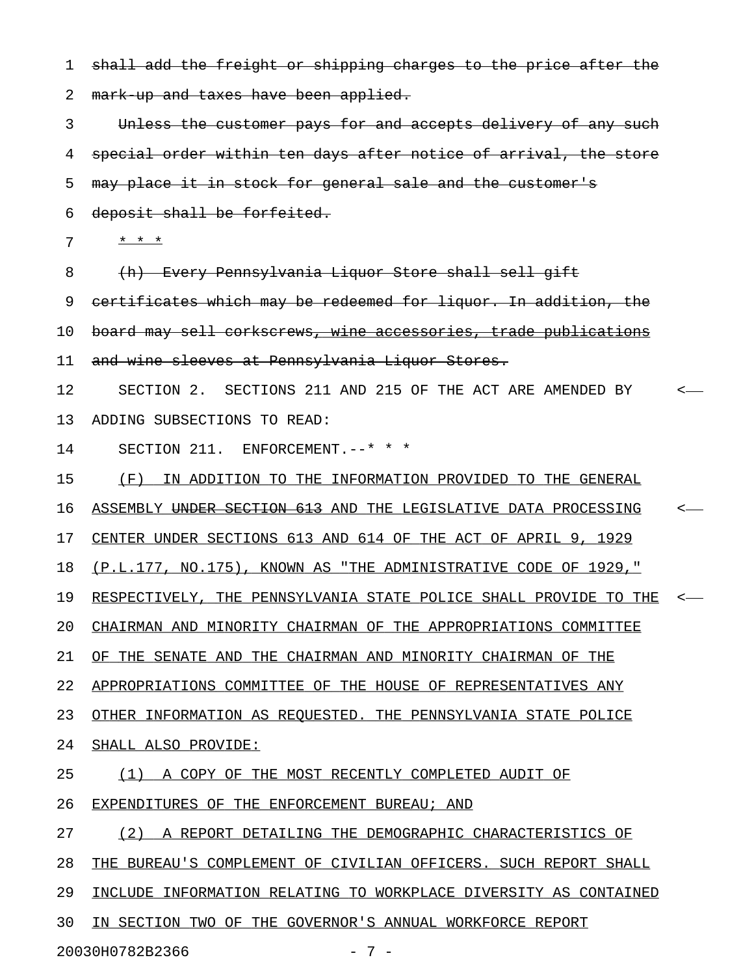1 shall add the freight or shipping charges to the price after the 2 mark-up and taxes have been applied. 3 Unless the customer pays for and accepts delivery of any such 4 special order within ten days after notice of arrival, the store 5 may place it in stock for general sale and the customer's 6 deposit shall be forfeited.  $7 \times x \times x$ 8 (h) Every Pennsylvania Liquor Store shall sell gift 9 certificates which may be redeemed for liquor. In addition, the 10 board may sell corkscrews, wine accessories, trade publications 11 and wine sleeves at Pennsylvania Liquor Stores. 12 SECTION 2. SECTIONS 211 AND 215 OF THE ACT ARE AMENDED BY < 13 ADDING SUBSECTIONS TO READ: 14 SECTION 211. ENFORCEMENT. --\* \* \* 15 (F) IN ADDITION TO THE INFORMATION PROVIDED TO THE GENERAL 16 ASSEMBLY UNDER SECTION 613 AND THE LEGISLATIVE DATA PROCESSING <-17 CENTER UNDER SECTIONS 613 AND 614 OF THE ACT OF APRIL 9, 1929 18 (P.L.177, NO.175), KNOWN AS "THE ADMINISTRATIVE CODE OF 1929," 19 RESPECTIVELY, THE PENNSYLVANIA STATE POLICE SHALL PROVIDE TO THE <-20 CHAIRMAN AND MINORITY CHAIRMAN OF THE APPROPRIATIONS COMMITTEE 21 OF THE SENATE AND THE CHAIRMAN AND MINORITY CHAIRMAN OF THE 22 APPROPRIATIONS COMMITTEE OF THE HOUSE OF REPRESENTATIVES ANY 23 OTHER INFORMATION AS REQUESTED. THE PENNSYLVANIA STATE POLICE 24 SHALL ALSO PROVIDE: 25 (1) A COPY OF THE MOST RECENTLY COMPLETED AUDIT OF 26 EXPENDITURES OF THE ENFORCEMENT BUREAU; AND 27 (2) A REPORT DETAILING THE DEMOGRAPHIC CHARACTERISTICS OF 28 THE BUREAU'S COMPLEMENT OF CIVILIAN OFFICERS. SUCH REPORT SHALL 29 INCLUDE INFORMATION RELATING TO WORKPLACE DIVERSITY AS CONTAINED 30 IN SECTION TWO OF THE GOVERNOR'S ANNUAL WORKFORCE REPORT

20030H0782B2366 - 7 -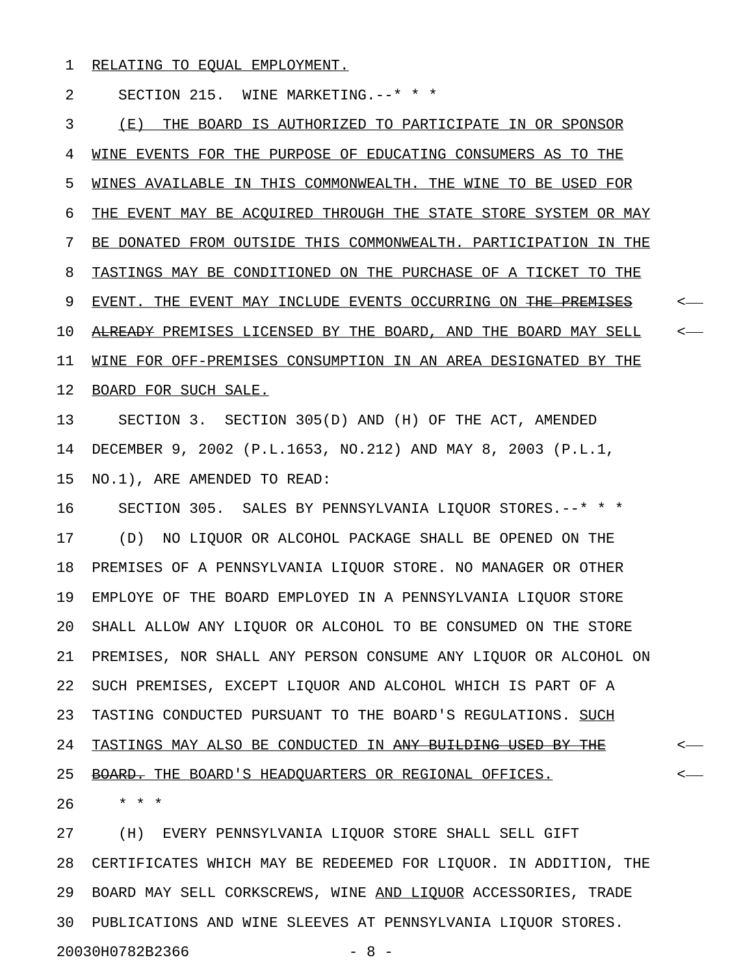1 RELATING TO EQUAL EMPLOYMENT.

2 SECTION 215. WINE MARKETING.--\* \* \*

3 (E) THE BOARD IS AUTHORIZED TO PARTICIPATE IN OR SPONSOR 4 WINE EVENTS FOR THE PURPOSE OF EDUCATING CONSUMERS AS TO THE 5 WINES AVAILABLE IN THIS COMMONWEALTH. THE WINE TO BE USED FOR 6 THE EVENT MAY BE ACOUIRED THROUGH THE STATE STORE SYSTEM OR MAY 7 BE DONATED FROM OUTSIDE THIS COMMONWEALTH. PARTICIPATION IN THE 8 TASTINGS MAY BE CONDITIONED ON THE PURCHASE OF A TICKET TO THE 9 EVENT. THE EVENT MAY INCLUDE EVENTS OCCURRING ON <del>THE PREMISES</del>  $\sim$ 10 ALREADY PREMISES LICENSED BY THE BOARD, AND THE BOARD MAY SELL <-11 WINE FOR OFF-PREMISES CONSUMPTION IN AN AREA DESIGNATED BY THE 12 BOARD FOR SUCH SALE. 13 SECTION 3. SECTION 305(D) AND (H) OF THE ACT, AMENDED 14 DECEMBER 9, 2002 (P.L.1653, NO.212) AND MAY 8, 2003 (P.L.1, 15 NO.1), ARE AMENDED TO READ: 16 SECTION 305. SALES BY PENNSYLVANIA LIQUOR STORES.--\* \* \* 17 (D) NO LIQUOR OR ALCOHOL PACKAGE SHALL BE OPENED ON THE 18 PREMISES OF A PENNSYLVANIA LIQUOR STORE. NO MANAGER OR OTHER 19 EMPLOYE OF THE BOARD EMPLOYED IN A PENNSYLVANIA LIQUOR STORE 20 SHALL ALLOW ANY LIQUOR OR ALCOHOL TO BE CONSUMED ON THE STORE 21 PREMISES, NOR SHALL ANY PERSON CONSUME ANY LIQUOR OR ALCOHOL ON 22 SUCH PREMISES, EXCEPT LIQUOR AND ALCOHOL WHICH IS PART OF A 23 TASTING CONDUCTED PURSUANT TO THE BOARD'S REGULATIONS. SUCH 24 TASTINGS MAY ALSO BE CONDUCTED IN <del>ANY BUILDING USED BY THE</del>  $\sim$ 25 BOARD. THE BOARD'S HEADQUARTERS OR REGIONAL OFFICES. 26 \* \* \* 27 (H) EVERY PENNSYLVANIA LIQUOR STORE SHALL SELL GIFT

28 CERTIFICATES WHICH MAY BE REDEEMED FOR LIQUOR. IN ADDITION, THE 29 BOARD MAY SELL CORKSCREWS, WINE AND LIQUOR ACCESSORIES, TRADE 30 PUBLICATIONS AND WINE SLEEVES AT PENNSYLVANIA LIQUOR STORES. 20030H0782B2366 - 8 -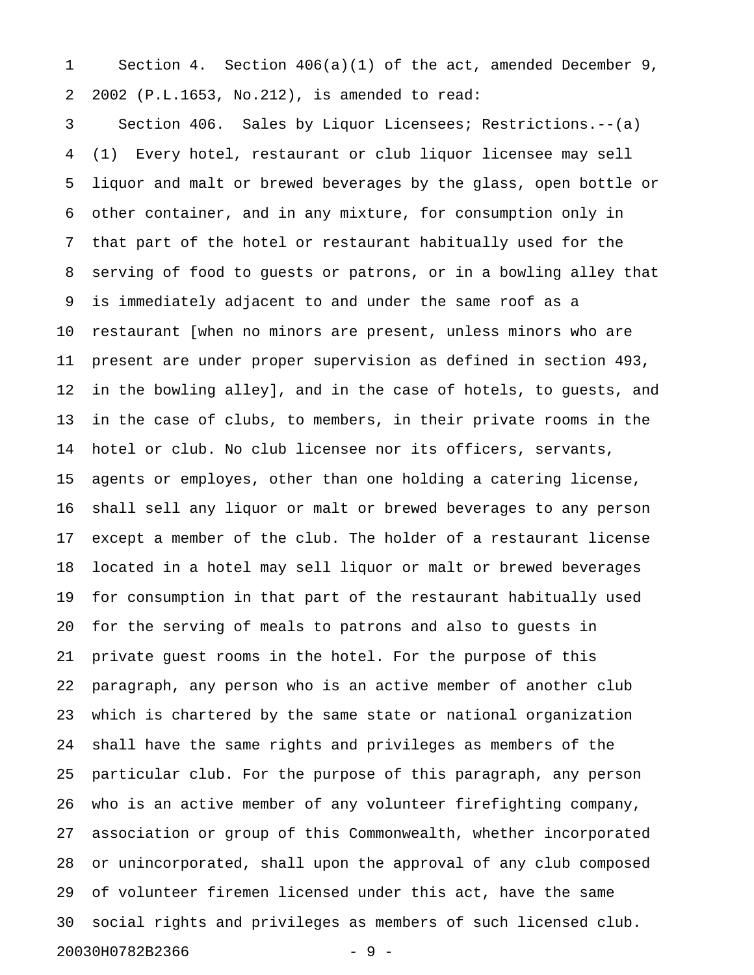1 Section 4. Section 406(a)(1) of the act, amended December 9, 2 2002 (P.L.1653, No.212), is amended to read:

3 Section 406. Sales by Liquor Licensees; Restrictions.--(a) 4 (1) Every hotel, restaurant or club liquor licensee may sell 5 liquor and malt or brewed beverages by the glass, open bottle or 6 other container, and in any mixture, for consumption only in 7 that part of the hotel or restaurant habitually used for the 8 serving of food to guests or patrons, or in a bowling alley that 9 is immediately adjacent to and under the same roof as a 10 restaurant [when no minors are present, unless minors who are 11 present are under proper supervision as defined in section 493, 12 in the bowling alley], and in the case of hotels, to guests, and 13 in the case of clubs, to members, in their private rooms in the 14 hotel or club. No club licensee nor its officers, servants, 15 agents or employes, other than one holding a catering license, 16 shall sell any liquor or malt or brewed beverages to any person 17 except a member of the club. The holder of a restaurant license 18 located in a hotel may sell liquor or malt or brewed beverages 19 for consumption in that part of the restaurant habitually used 20 for the serving of meals to patrons and also to guests in 21 private guest rooms in the hotel. For the purpose of this 22 paragraph, any person who is an active member of another club 23 which is chartered by the same state or national organization 24 shall have the same rights and privileges as members of the 25 particular club. For the purpose of this paragraph, any person 26 who is an active member of any volunteer firefighting company, 27 association or group of this Commonwealth, whether incorporated 28 or unincorporated, shall upon the approval of any club composed 29 of volunteer firemen licensed under this act, have the same 30 social rights and privileges as members of such licensed club. 20030H0782B2366 - 9 -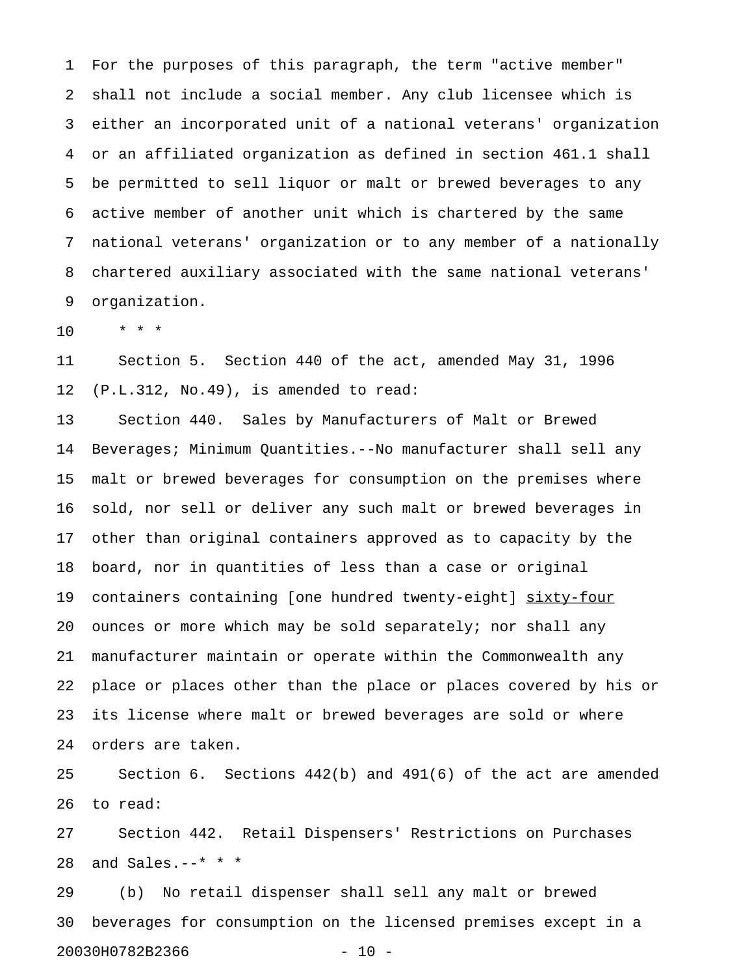1 For the purposes of this paragraph, the term "active member" 2 shall not include a social member. Any club licensee which is 3 either an incorporated unit of a national veterans' organization 4 or an affiliated organization as defined in section 461.1 shall 5 be permitted to sell liquor or malt or brewed beverages to any 6 active member of another unit which is chartered by the same 7 national veterans' organization or to any member of a nationally 8 chartered auxiliary associated with the same national veterans' 9 organization.

10 \* \* \*

11 Section 5. Section 440 of the act, amended May 31, 1996 12 (P.L.312, No.49), is amended to read:

13 Section 440. Sales by Manufacturers of Malt or Brewed 14 Beverages; Minimum Quantities.--No manufacturer shall sell any 15 malt or brewed beverages for consumption on the premises where 16 sold, nor sell or deliver any such malt or brewed beverages in 17 other than original containers approved as to capacity by the 18 board, nor in quantities of less than a case or original 19 containers containing [one hundred twenty-eight] sixty-four 20 ounces or more which may be sold separately; nor shall any 21 manufacturer maintain or operate within the Commonwealth any 22 place or places other than the place or places covered by his or 23 its license where malt or brewed beverages are sold or where 24 orders are taken.

25 Section 6. Sections 442(b) and 491(6) of the act are amended 26 to read:

27 Section 442. Retail Dispensers' Restrictions on Purchases 28 and Sales.--\* \* \*

29 (b) No retail dispenser shall sell any malt or brewed 30 beverages for consumption on the licensed premises except in a 20030H0782B2366 - 10 -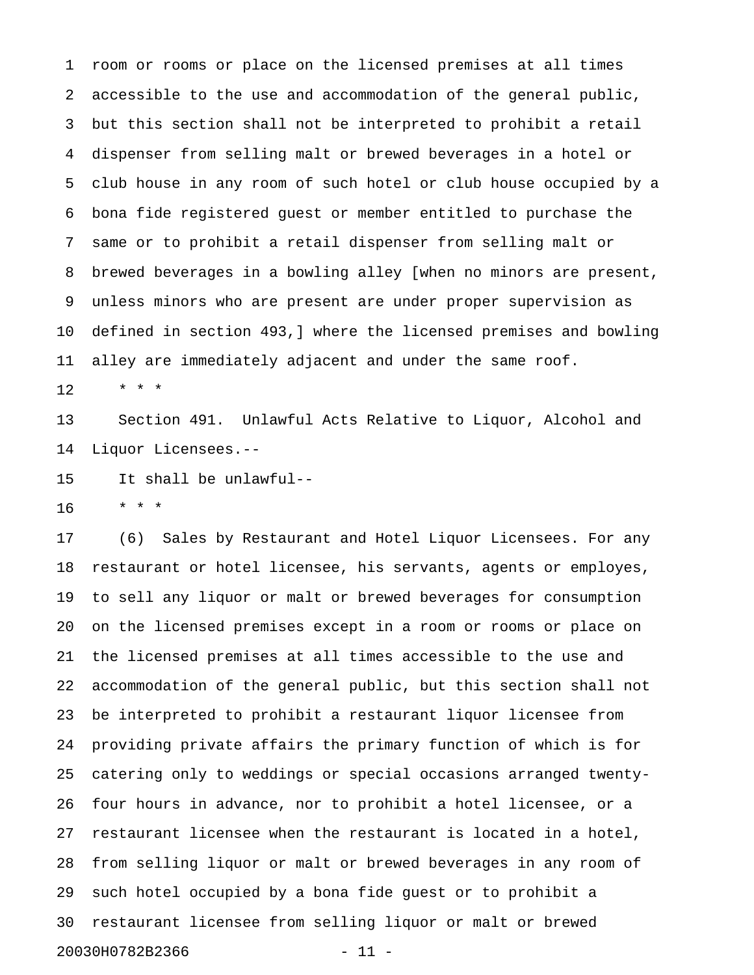1 room or rooms or place on the licensed premises at all times 2 accessible to the use and accommodation of the general public, 3 but this section shall not be interpreted to prohibit a retail 4 dispenser from selling malt or brewed beverages in a hotel or 5 club house in any room of such hotel or club house occupied by a 6 bona fide registered guest or member entitled to purchase the 7 same or to prohibit a retail dispenser from selling malt or 8 brewed beverages in a bowling alley [when no minors are present, 9 unless minors who are present are under proper supervision as 10 defined in section 493,] where the licensed premises and bowling 11 alley are immediately adjacent and under the same roof.  $12 + * * *$ 

13 Section 491. Unlawful Acts Relative to Liquor, Alcohol and 14 Liquor Licensees.--

15 It shall be unlawful--

16 \* \* \*

17 (6) Sales by Restaurant and Hotel Liquor Licensees. For any 18 restaurant or hotel licensee, his servants, agents or employes, 19 to sell any liquor or malt or brewed beverages for consumption 20 on the licensed premises except in a room or rooms or place on 21 the licensed premises at all times accessible to the use and 22 accommodation of the general public, but this section shall not 23 be interpreted to prohibit a restaurant liquor licensee from 24 providing private affairs the primary function of which is for 25 catering only to weddings or special occasions arranged twenty-26 four hours in advance, nor to prohibit a hotel licensee, or a 27 restaurant licensee when the restaurant is located in a hotel, 28 from selling liquor or malt or brewed beverages in any room of 29 such hotel occupied by a bona fide guest or to prohibit a 30 restaurant licensee from selling liquor or malt or brewed 20030H0782B2366 - 11 -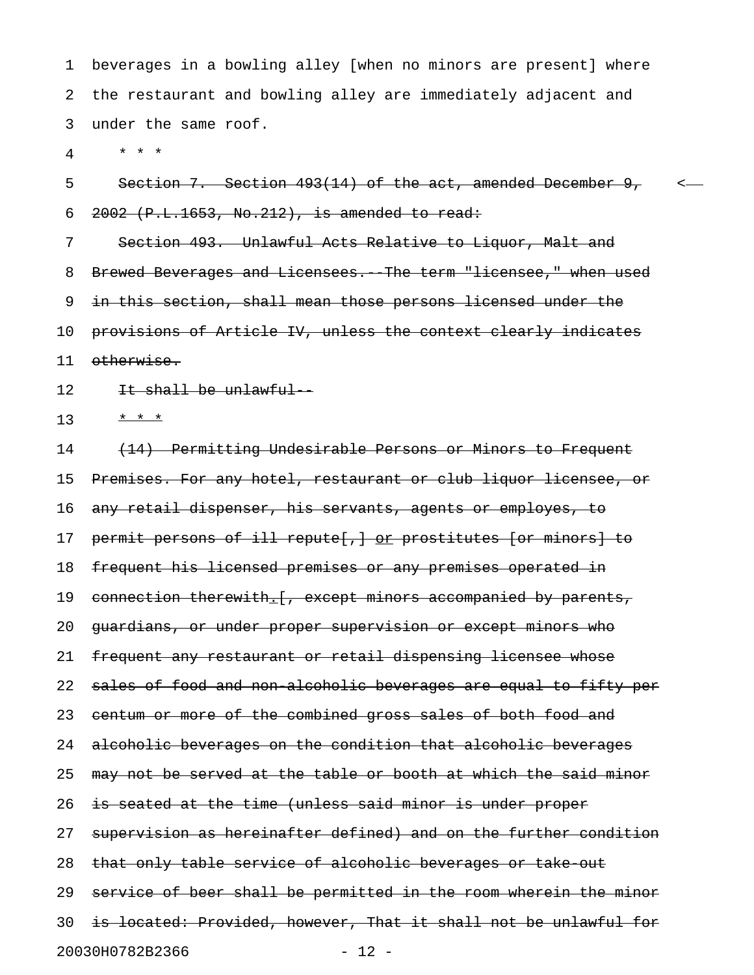1 beverages in a bowling alley [when no minors are present] where 2 the restaurant and bowling alley are immediately adjacent and 3 under the same roof.

4 \* \* \*

5 Section 7. Section 493(14) of the act, amended December 9, < 6  $2002$  (P.L.1653, No.212), is amended to read:

7 Section 493. Unlawful Acts Relative to Liquor, Malt and 8 Brewed Beverages and Licensees. The term "licensee," when used 9 in this section, shall mean those persons licensed under the 10 provisions of Article IV, unless the context clearly indicates 11 otherwise.

12 It shall be unlawful-

13  $* * *$ 

14 (14) Permitting Undesirable Persons or Minors to Frequent 15 Premises. For any hotel, restaurant or club liquor licensee, or 16 any retail dispenser, his servants, agents or employes, to 17 permit persons of ill repute[,] or prostitutes [or minors] to 18 frequent his licensed premises or any premises operated in 19 connection therewith. [, except minors accompanied by parents, 20 guardians, or under proper supervision or except minors who 21 frequent any restaurant or retail dispensing licensee whose 22 sales of food and non alcoholic beverages are equal to fifty per 23 centum or more of the combined gross sales of both food and 24 alcoholic beverages on the condition that alcoholic beverages 25 may not be served at the table or booth at which the said minor 26 is seated at the time (unless said minor is under proper 27 supervision as hereinafter defined) and on the further condition 28 that only table service of alcoholic beverages or take out 29 service of beer shall be permitted in the room wherein the minor 30 is located: Provided, however, That it shall not be unlawful for 20030H0782B2366 - 12 -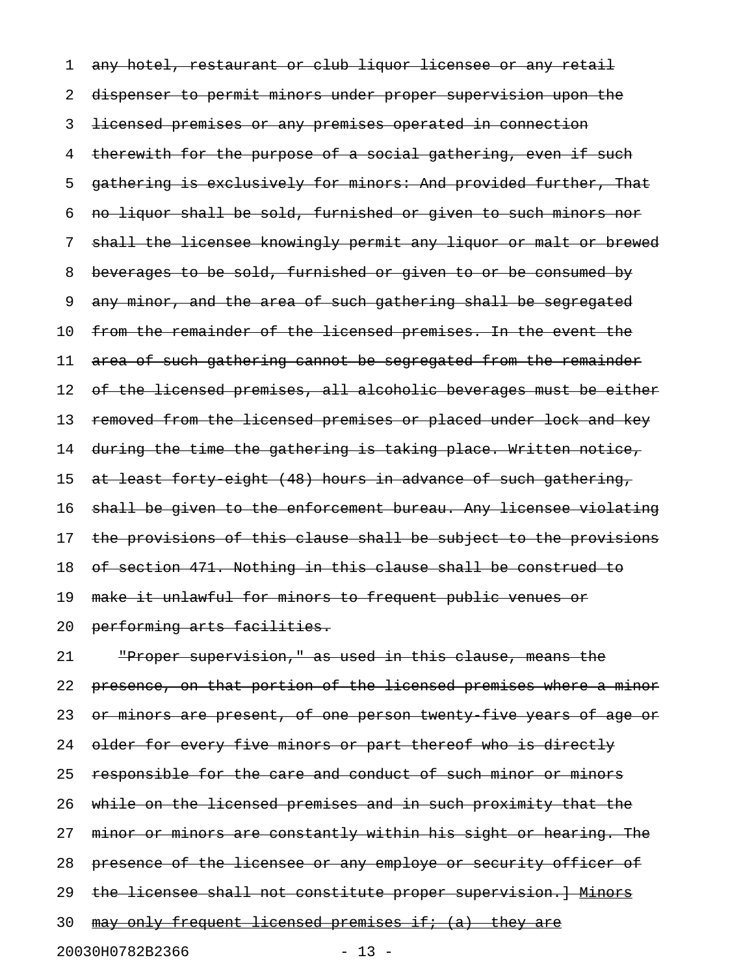1 any hotel, restaurant or club liquor licensee or any retail 2 dispenser to permit minors under proper supervision upon the 3 licensed premises or any premises operated in connection 4 therewith for the purpose of a social gathering, even if such 5 gathering is exclusively for minors: And provided further, That 6 no liquor shall be sold, furnished or given to such minors nor 7 shall the licensee knowingly permit any liquor or malt or brewed 8 beverages to be sold, furnished or given to or be consumed by 9 any minor, and the area of such gathering shall be segregated 10 from the remainder of the licensed premises. In the event the 11 area of such gathering cannot be segregated from the remainder 12 of the licensed premises, all alcoholic beverages must be either 13 removed from the licensed premises or placed under lock and key 14 during the time the gathering is taking place. Written notice, 15 at least forty eight (48) hours in advance of such gathering, 16 shall be given to the enforcement bureau. Any licensee violating 17 the provisions of this clause shall be subject to the provisions 18 of section 471. Nothing in this clause shall be construed to 19 make it unlawful for minors to frequent public venues or 20 performing arts facilities.

21 "Proper supervision," as used in this clause, means the 22 presence, on that portion of the licensed premises where a minor 23 or minors are present, of one person twenty five years of age or 24 older for every five minors or part thereof who is directly 25 responsible for the care and conduct of such minor or minors 26 while on the licensed premises and in such proximity that the 27 minor or minors are constantly within his sight or hearing. The 28 presence of the licensee or any employe or security officer of 29 the licensee shall not constitute proper supervision. ] Minors 30 may only frequent licensed premises if; (a) they are 20030H0782B2366 - 13 -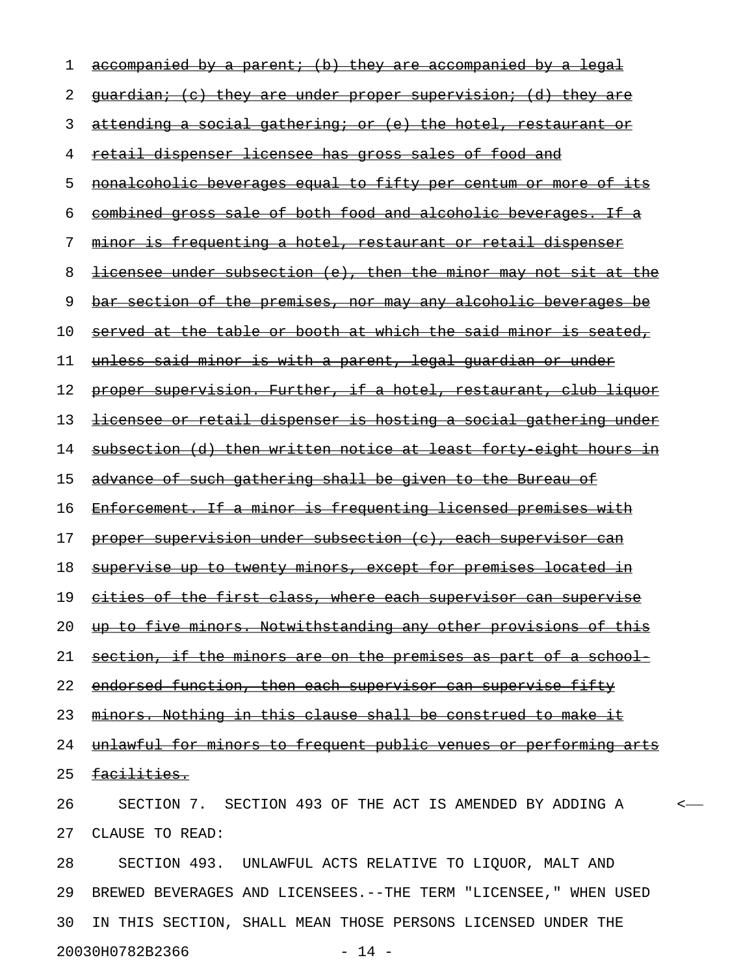| 1  | accompanied by a parent; (b) they are accompanied by a legal             |
|----|--------------------------------------------------------------------------|
| 2  | <u>guardian; (c) they are under proper supervision; (d) they are</u>     |
| 3  | attending a social gathering; or (e) the hotel, restaurant or            |
| 4  | retail dispenser licensee has gross sales of food and                    |
| 5  | nonalcoholic beverages equal to fifty per centum or more of its          |
| 6  | combined gross sale of both food and alcoholic beverages. If a           |
| 7  | <u>minor is frequenting a hotel, restaurant or retail dispenser</u>      |
| 8  | <u>licensee under subsection (e), then the minor may not sit at the </u> |
| 9  | <u>bar section of the premises, nor may any alcoholic beverages be</u>   |
| 10 | served at the table or booth at which the said minor is seated,          |
| 11 | <u>unless said minor is with a parent, legal quardian or under</u>       |
| 12 | proper supervision. Further, if a hotel, restaurant, club liquor         |
| 13 | <u>licensee or retail dispenser is hosting a social gathering under</u>  |
| 14 | subsection (d) then written notice at least forty eight hours in         |
| 15 | advance of such gathering shall be given to the Bureau of                |
| 16 | Enforcement. If a minor is frequenting licensed premises with            |
| 17 | proper supervision under subsection (c), each supervisor can             |
| 18 | <u>supervise up to twenty minors, except for premises located in</u>     |
| 19 | cities of the first class, where each supervisor can supervise           |
| 20 | up to five minors. Notwithstanding any other provisions of this          |
| 21 | section, if the minors are on the premises as part of a school-          |
| 22 | endorsed function, then each supervisor can supervise fifty              |
| 23 | minors. Nothing in this clause shall be construed to make it             |
| 24 | unlawful for minors to frequent public venues or performing arts         |
| 25 | <del>facilities.</del>                                                   |
| 26 | SECTION 7. SECTION 493 OF THE ACT IS AMENDED BY ADDING A                 |
| 27 | CLAUSE TO READ:                                                          |
| 28 | SECTION 493. UNLAWFUL ACTS RELATIVE TO LIQUOR, MALT AND                  |
| 29 | BREWED BEVERAGES AND LICENSEES. -- THE TERM "LICENSEE, " WHEN USED       |
| 30 | IN THIS SECTION, SHALL MEAN THOSE PERSONS LICENSED UNDER THE             |

20030H0782B2366 - 14 -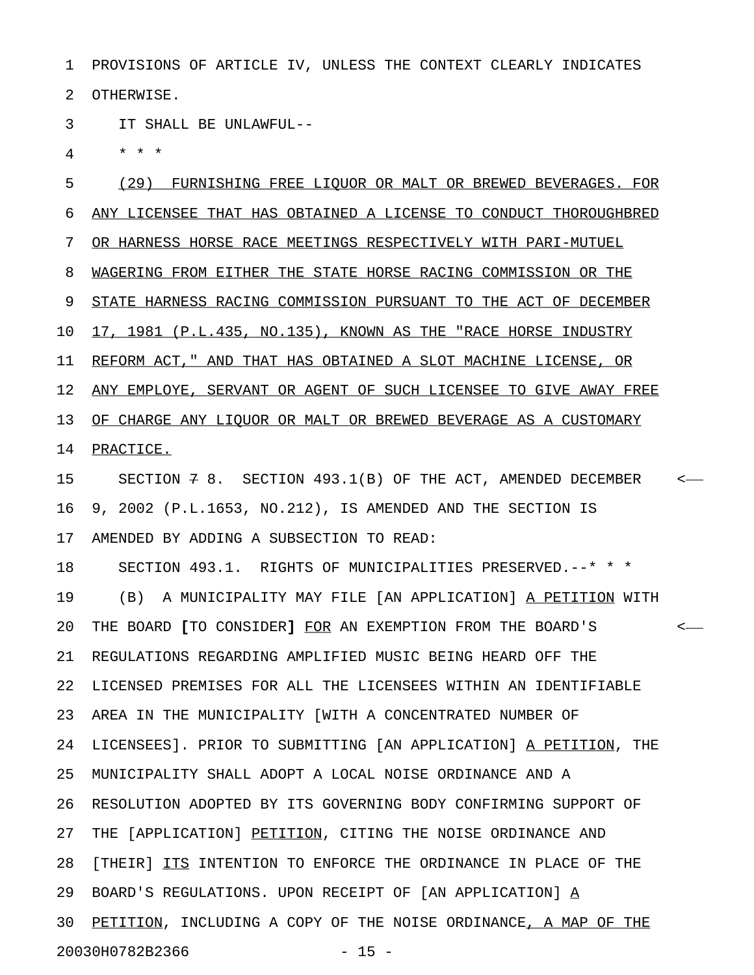1 PROVISIONS OF ARTICLE IV, UNLESS THE CONTEXT CLEARLY INDICATES 2 OTHERWISE.

3 IT SHALL BE UNLAWFUL--

4 \* \* \*

5 (29) FURNISHING FREE LIQUOR OR MALT OR BREWED BEVERAGES. FOR 6 ANY LICENSEE THAT HAS OBTAINED A LICENSE TO CONDUCT THOROUGHBRED 7 OR HARNESS HORSE RACE MEETINGS RESPECTIVELY WITH PARI-MUTUEL 8 MAGERING FROM EITHER THE STATE HORSE RACING COMMISSION OR THE 9 STATE HARNESS RACING COMMISSION PURSUANT TO THE ACT OF DECEMBER 10 17, 1981 (P.L.435, NO.135), KNOWN AS THE "RACE HORSE INDUSTRY 11 REFORM ACT, " AND THAT HAS OBTAINED A SLOT MACHINE LICENSE, OR 12 ANY EMPLOYE, SERVANT OR AGENT OF SUCH LICENSEE TO GIVE AWAY FREE 13 OF CHARGE ANY LIQUOR OR MALT OR BREWED BEVERAGE AS A CUSTOMARY 14 PRACTICE. 15 SECTION 7 8. SECTION 493.1(B) OF THE ACT, AMENDED DECEMBER < 16 9, 2002 (P.L.1653, NO.212), IS AMENDED AND THE SECTION IS 17 AMENDED BY ADDING A SUBSECTION TO READ: 18 SECTION 493.1. RIGHTS OF MUNICIPALITIES PRESERVED.--\* \* \* 19 (B) A MUNICIPALITY MAY FILE [AN APPLICATION] A PETITION WITH 20 THE BOARD [TO CONSIDER] FOR AN EXEMPTION FROM THE BOARD'S  $\sim$ 21 REGULATIONS REGARDING AMPLIFIED MUSIC BEING HEARD OFF THE 22 LICENSED PREMISES FOR ALL THE LICENSEES WITHIN AN IDENTIFIABLE 23 AREA IN THE MUNICIPALITY [WITH A CONCENTRATED NUMBER OF 24 LICENSEES]. PRIOR TO SUBMITTING [AN APPLICATION] <u>A PETITION</u>, THE 25 MUNICIPALITY SHALL ADOPT A LOCAL NOISE ORDINANCE AND A 26 RESOLUTION ADOPTED BY ITS GOVERNING BODY CONFIRMING SUPPORT OF 27 THE [APPLICATION] PETITION, CITING THE NOISE ORDINANCE AND 28 [THEIR] ITS INTENTION TO ENFORCE THE ORDINANCE IN PLACE OF THE 29 BOARD'S REGULATIONS. UPON RECEIPT OF [AN APPLICATION] A\_

30 PETITION, INCLUDING A COPY OF THE NOISE ORDINANCE, A MAP OF THE

20030H0782B2366 - 15 -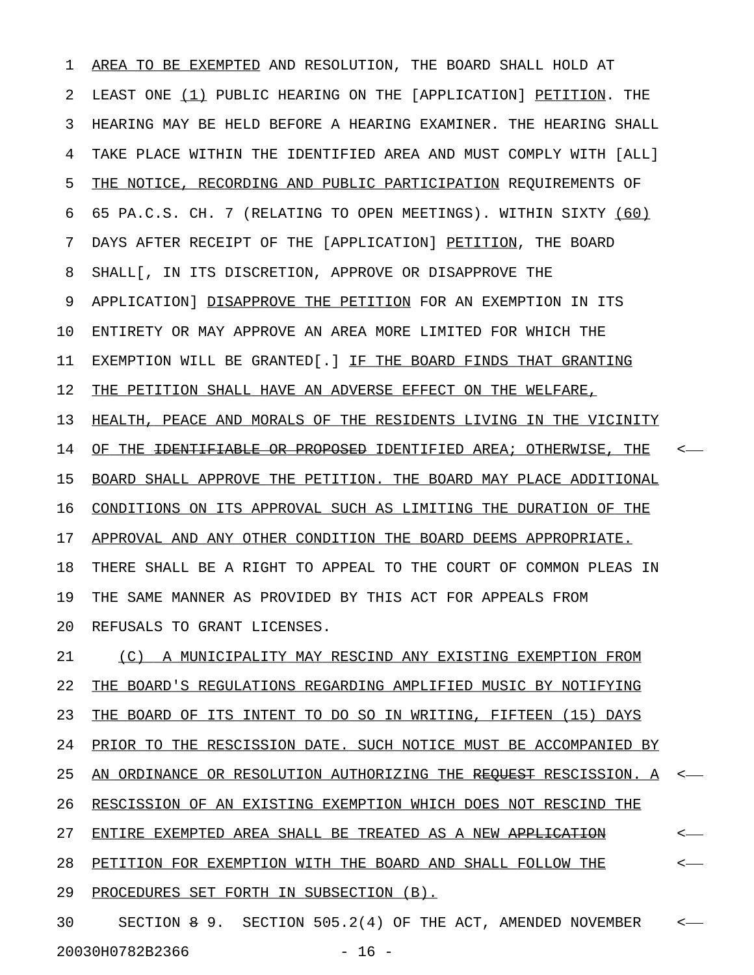1 AREA TO BE EXEMPTED AND RESOLUTION, THE BOARD SHALL HOLD AT 2 LEAST ONE (1) PUBLIC HEARING ON THE [APPLICATION] PETITION. THE 3 HEARING MAY BE HELD BEFORE A HEARING EXAMINER. THE HEARING SHALL 4 TAKE PLACE WITHIN THE IDENTIFIED AREA AND MUST COMPLY WITH [ALL] 5 THE NOTICE, RECORDING AND PUBLIC PARTICIPATION REQUIREMENTS OF 6 65 PA.C.S. CH. 7 (RELATING TO OPEN MEETINGS). WITHIN SIXTY (60) \_\_\_\_ 7 DAYS AFTER RECEIPT OF THE [APPLICATION] PETITION, THE BOARD 8 SHALL[, IN ITS DISCRETION, APPROVE OR DISAPPROVE THE 9 APPLICATION] DISAPPROVE THE PETITION FOR AN EXEMPTION IN ITS 10 ENTIRETY OR MAY APPROVE AN AREA MORE LIMITED FOR WHICH THE 11 EXEMPTION WILL BE GRANTED[.] IF THE BOARD FINDS THAT GRANTING 12 THE PETITION SHALL HAVE AN ADVERSE EFFECT ON THE WELFARE, 13 HEALTH, PEACE AND MORALS OF THE RESIDENTS LIVING IN THE VICINITY 14 OF THE <del>IDENTIFIABLE OR PROPOSED</del> IDENTIFIED AREA; OTHERWISE, THE <-15 BOARD SHALL APPROVE THE PETITION. THE BOARD MAY PLACE ADDITIONAL 16 CONDITIONS ON ITS APPROVAL SUCH AS LIMITING THE DURATION OF THE 17 APPROVAL AND ANY OTHER CONDITION THE BOARD DEEMS APPROPRIATE. 18 THERE SHALL BE A RIGHT TO APPEAL TO THE COURT OF COMMON PLEAS IN 19 THE SAME MANNER AS PROVIDED BY THIS ACT FOR APPEALS FROM 20 REFUSALS TO GRANT LICENSES. 21 (C) A MUNICIPALITY MAY RESCIND ANY EXISTING EXEMPTION FROM 22 THE BOARD'S REGULATIONS REGARDING AMPLIFIED MUSIC BY NOTIFYING 23 THE BOARD OF ITS INTENT TO DO SO IN WRITING, FIFTEEN (15) DAYS 24 PRIOR TO THE RESCISSION DATE. SUCH NOTICE MUST BE ACCOMPANIED BY 25 AN ORDINANCE OR RESOLUTION AUTHORIZING THE REQUEST RESCISSION. A <-26 RESCISSION OF AN EXISTING EXEMPTION WHICH DOES NOT RESCIND THE 27 ENTIRE EXEMPTED AREA SHALL BE TREATED AS A NEW <del>APPLICATION</del>  $\leftarrow$ 

28 PETITION FOR EXEMPTION WITH THE BOARD AND SHALL FOLLOW THE  $\longleftarrow$ 

29 PROCEDURES SET FORTH IN SUBSECTION (B).

30 SECTION 8 9. SECTION 505.2(4) OF THE ACT, AMENDED NOVEMBER < 20030H0782B2366 - 16 -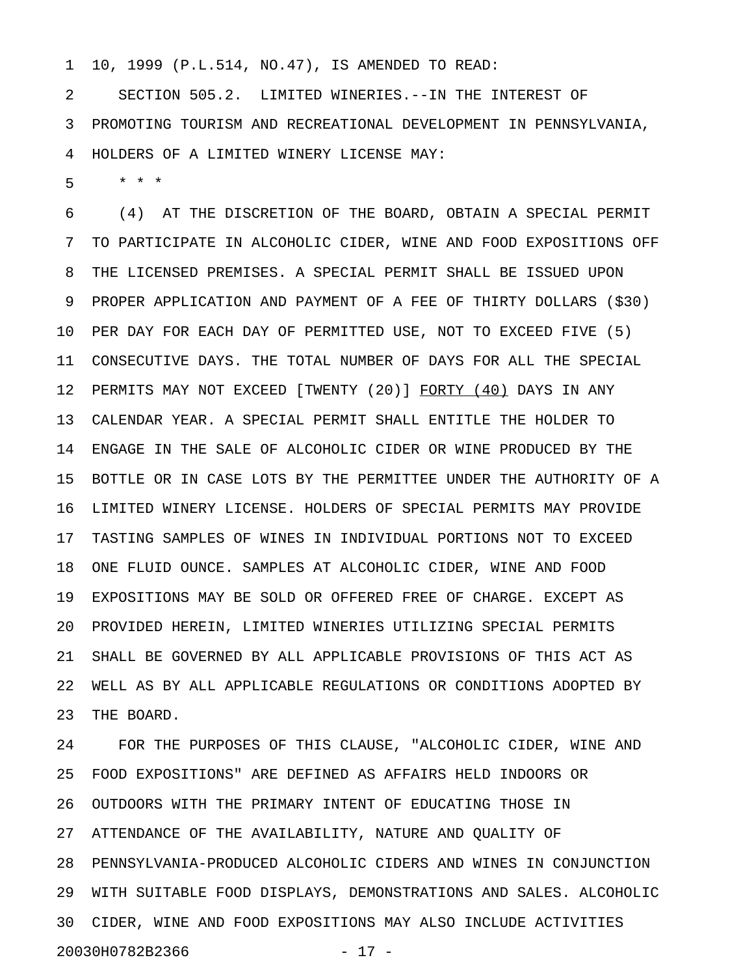1 10, 1999 (P.L.514, NO.47), IS AMENDED TO READ:

2 SECTION 505.2. LIMITED WINERIES.--IN THE INTEREST OF 3 PROMOTING TOURISM AND RECREATIONAL DEVELOPMENT IN PENNSYLVANIA, 4 HOLDERS OF A LIMITED WINERY LICENSE MAY:

5 \* \* \*

6 (4) AT THE DISCRETION OF THE BOARD, OBTAIN A SPECIAL PERMIT 7 TO PARTICIPATE IN ALCOHOLIC CIDER, WINE AND FOOD EXPOSITIONS OFF 8 THE LICENSED PREMISES. A SPECIAL PERMIT SHALL BE ISSUED UPON 9 PROPER APPLICATION AND PAYMENT OF A FEE OF THIRTY DOLLARS (\$30) 10 PER DAY FOR EACH DAY OF PERMITTED USE, NOT TO EXCEED FIVE (5) 11 CONSECUTIVE DAYS. THE TOTAL NUMBER OF DAYS FOR ALL THE SPECIAL 12 PERMITS MAY NOT EXCEED [TWENTY (20)] FORTY (40) DAYS IN ANY 13 CALENDAR YEAR. A SPECIAL PERMIT SHALL ENTITLE THE HOLDER TO 14 ENGAGE IN THE SALE OF ALCOHOLIC CIDER OR WINE PRODUCED BY THE 15 BOTTLE OR IN CASE LOTS BY THE PERMITTEE UNDER THE AUTHORITY OF A 16 LIMITED WINERY LICENSE. HOLDERS OF SPECIAL PERMITS MAY PROVIDE 17 TASTING SAMPLES OF WINES IN INDIVIDUAL PORTIONS NOT TO EXCEED 18 ONE FLUID OUNCE. SAMPLES AT ALCOHOLIC CIDER, WINE AND FOOD 19 EXPOSITIONS MAY BE SOLD OR OFFERED FREE OF CHARGE. EXCEPT AS 20 PROVIDED HEREIN, LIMITED WINERIES UTILIZING SPECIAL PERMITS 21 SHALL BE GOVERNED BY ALL APPLICABLE PROVISIONS OF THIS ACT AS 22 WELL AS BY ALL APPLICABLE REGULATIONS OR CONDITIONS ADOPTED BY 23 THE BOARD.

24 FOR THE PURPOSES OF THIS CLAUSE, "ALCOHOLIC CIDER, WINE AND 25 FOOD EXPOSITIONS" ARE DEFINED AS AFFAIRS HELD INDOORS OR 26 OUTDOORS WITH THE PRIMARY INTENT OF EDUCATING THOSE IN 27 ATTENDANCE OF THE AVAILABILITY, NATURE AND QUALITY OF 28 PENNSYLVANIA-PRODUCED ALCOHOLIC CIDERS AND WINES IN CONJUNCTION 29 WITH SUITABLE FOOD DISPLAYS, DEMONSTRATIONS AND SALES. ALCOHOLIC 30 CIDER, WINE AND FOOD EXPOSITIONS MAY ALSO INCLUDE ACTIVITIES 20030H0782B2366 - 17 -